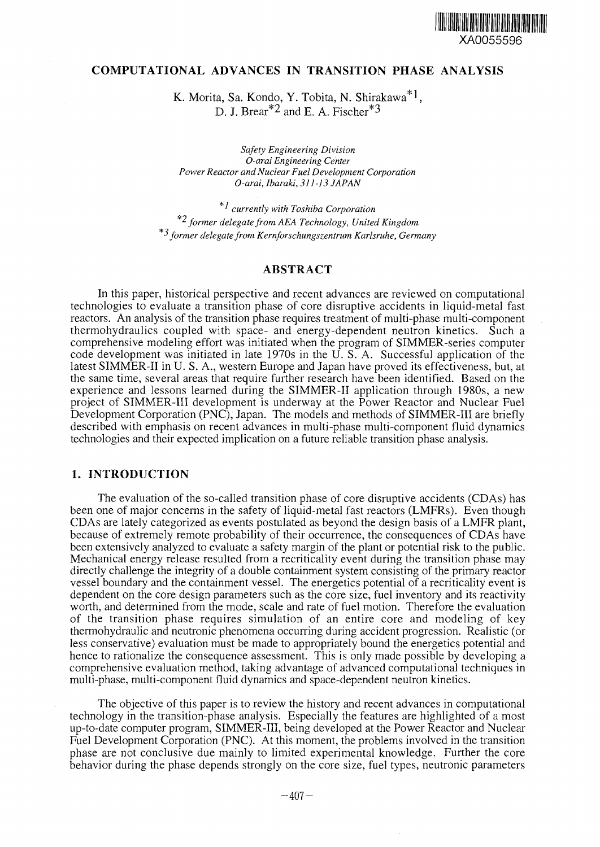

### **COMPUTATIONAL ADVANCES IN TRANSITION PHASE ANALYSIS**

K. Morita, Sa. Kondo, Y. Tobita, N. Shirakawa D. J. Brear<sup>\*2</sup> and E. A. Fischer<sup>\*3</sup>

*Safety Engineering Division O-arai Engineering Center Power Reactor and Nuclear Fuel Development Corporation O-arai, Ibaraki, 311-13 JAPAN*

'*' currently with Toshiba Corporation* \*2 *former delegate from AEA Technology, United Kingdom former delegate from Kernforschungszentrum Karlsruhe, Germany*

# **ABSTRACT**

In this paper, historical perspective and recent advances are reviewed on computational technologies to evaluate a transition phase of core disruptive accidents in liquid-metal fast reactors. An analysis of the transition phase requires treatment of multi-phase multi-component thermohydraulics coupled with space- and energy-dependent neutron kinetics. Such a comprehensive modeling effort was initiated when the program of SIMMER-series computer code development was initiated in late 1970s in the U. S. A. Successful application of the latest SIMMER-II in U. S. A., western Europe and Japan have proved its effectiveness, but, at the same time, several areas that require further research have been identified. Based on the experience and lessons learned during the SIMMER-II application through 1980s, a new project of SIMMER-III development is underway at the Power Reactor and Nuclear Fuel Development Corporation (PNC), Japan. The models and methods of SIMMER-III are briefly described with emphasis on recent advances in multi-phase multi-component fluid dynamics technologies and their expected implication on a future reliable transition phase analysis.

## **1. INTRODUCTION**

The evaluation of the so-called transition phase of core disruptive accidents (CDAs) has been one of major concerns in the safety of liquid-metal fast reactors (LMFRs). Even though CDAs are lately categorized as events postulated as beyond the design basis of a LMFR plant, because of extremely remote probability of their occurrence, the consequences of CDAs have been extensively analyzed to evaluate a safety margin of the plant or potential risk to the public. Mechanical energy release resulted from a recriticality event during the transition phase may directly challenge the integrity of a double containment system consisting of the primary reactor vessel boundary and the containment vessel. The energetics potential of a recriticality event is dependent on the core design parameters such as the core size, fuel inventory and its reactivity worth, and determined from the mode, scale and rate of fuel motion. Therefore the evaluation of the transition phase requires simulation of an entire core and modeling of key thermohydraulic and neutronic phenomena occurring during accident progression. Realistic (or less conservative) evaluation must be made to appropriately bound the energetics potential and hence to rationalize the consequence assessment. This is only made possible by developing a comprehensive evaluation method, taking advantage of advanced computational techniques in multi-phase, multi-component fluid dynamics and space-dependent neutron kinetics.

The objective of this paper is to review the history and recent advances in computational technology in the transition-phase analysis. Especially the features are highlighted of a most up-to-date computer program, SIMMER-III, being developed at the Power Reactor and Nuclear Fuel Development Corporation (PNC). At this moment, the problems involved in the transition phase are not conclusive due mainly to limited experimental knowledge. Further the core behavior during the phase depends strongly on the core size, fuel types, neutronic parameters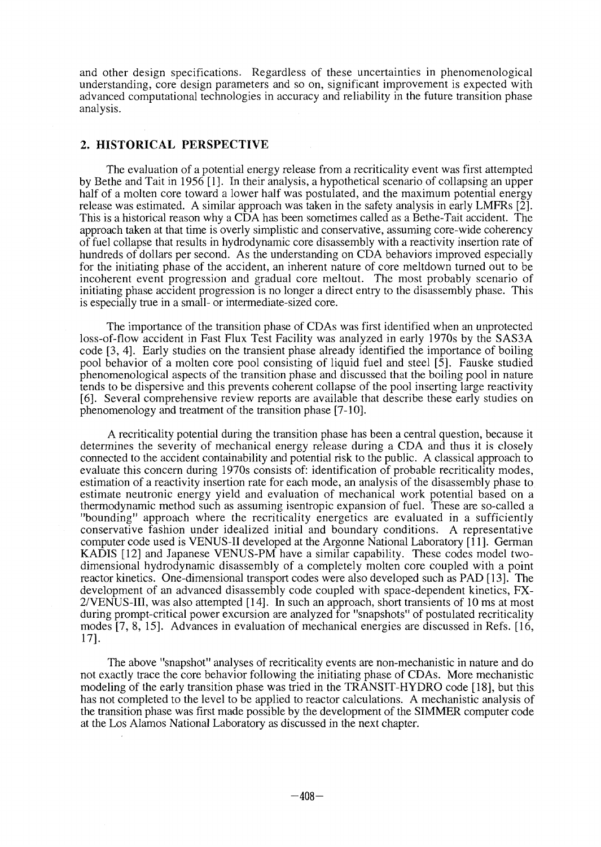and other design specifications. Regardless of these uncertainties in phenomenological understanding, core design parameters and so on, significant improvement is expected with advanced computational technologies in accuracy and reliability in the future transition phase analysis.

## **2. HISTORICAL PERSPECTIVE**

The evaluation of a potential energy release from a recriticality event was first attempted by Bethe and Tait in 1956 [1]. In their analysis, a hypothetical scenario of collapsing an upper half of a molten core toward a lower half was postulated, and the maximum potential energy release was estimated. A similar approach was taken in the safety analysis in early LMFRs [2]. This is a historical reason why a CDA has been sometimes called as a Bethe-Tait accident. The approach taken at that time is overly simplistic and conservative, assuming core-wide coherency of fuel collapse that results in hydrodynamic core disassembly with a reactivity insertion rate of hundreds of dollars per second. As the understanding on CDA behaviors improved especially for the initiating phase of the accident, an inherent nature of core meltdown turned out to be incoherent event progression and gradual core meltout. The most probably scenario of initiating phase accident progression is no longer a direct entry to the disassembly phase. This is especially true in a small- or intermediate-sized core.

The importance of the transition phase of CDAs was first identified when an unprotected loss-of-flow accident in Fast Flux Test Facility was analyzed in early 1970s by the SAS3A code [3,4]. Early studies on the transient phase already identified the importance of boiling pool behavior of a molten core pool consisting of liquid fuel and steel [5]. Fauske studied phenomenological aspects of the transition phase and discussed that the boiling pool in nature tends to be dispersive and this prevents coherent collapse of the pool inserting large reactivity [6]. Several comprehensive review reports are available that describe these early studies on phenomenology and treatment of the transition phase [7-10].

A recriticality potential during the transition phase has been a central question, because it determines the severity of mechanical energy release during a CDA and thus it is closely connected to the accident containability and potential risk to the public. A classical approach to evaluate this concern during 1970s consists of: identification of probable recriticality modes, estimation of a reactivity insertion rate for each mode, an analysis of the disassembly phase to estimate neutronic energy yield and evaluation of mechanical work potential based on a thermodynamic method such as assuming isentropic expansion of fuel. These are so-called a "bounding" approach where the recriticality energetics are evaluated in a sufficiently conservative fashion under idealized initial and boundary conditions. A representative computer code used is VENUS-II developed at the Argonne National Laboratory [11]. German KADIS [12] and Japanese VENUS-PM have a similar capability. These codes model twodimensional hydrodynamic disassembly of a completely molten core coupled with a point reactor kinetics. One-dimensional transport codes were also developed such as PAD [13]. The development of an advanced disassembly code coupled with space-dependent kinetics, FX-2/VENUS-III, was also attempted [14]. In such an approach, short transients of 10 ms at most during prompt-critical power excursion are analyzed for "snapshots" of postulated recriticality modes [7, 8, 15]. Advances in evaluation of mechanical energies are discussed in Refs. [16, 17].

The above "snapshot" analyses of recriticality events are non-mechanistic in nature and do not exactly trace the core behavior following the initiating phase of CDAs. More mechanistic modeling of the early transition phase was tried in the TRANSIT-HYDRO code [18], but this has not completed to the level to be applied to reactor calculations. A mechanistic analysis of the transition phase was first made possible by the development of the SIMMER computer code at the Los Alamos National Laboratory as discussed in the next chapter.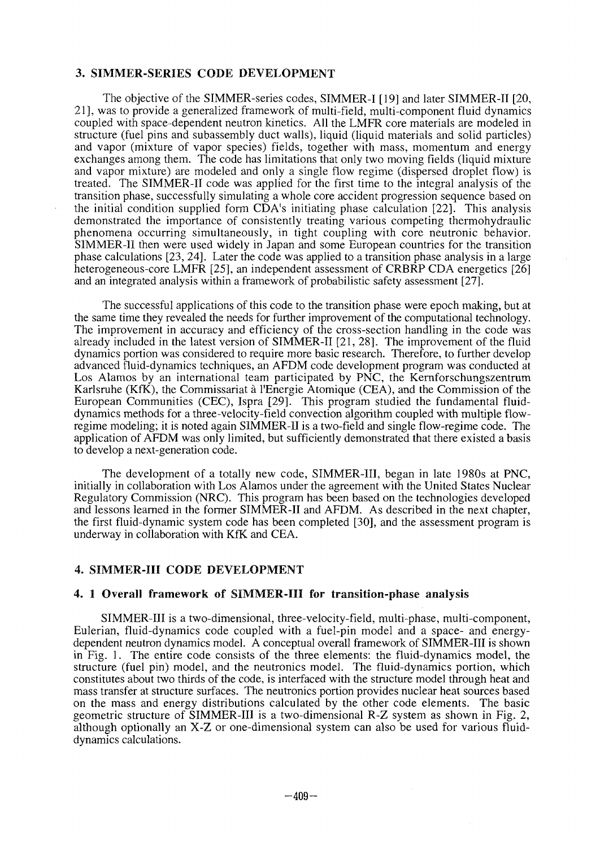# 3. **SIMMER-SERIES CODE DEVELOPMENT**

The objective of the SIMMER-series codes, SIMMER-I [19] and later SIMMER-II [20, 21], was to provide a generalized framework of multi-field, multi-component fluid dynamics coupled with space-dependent neutron kinetics. All the LMFR core materials are modeled in structure (fuel pins and subassembly duct walls), liquid (liquid materials and solid particles) and vapor (mixture of vapor species) fields, together with mass, momentum and energy exchanges among them. The code has limitations that only two moving fields (liquid mixture and vapor mixture) are modeled and only a single flow regime (dispersed droplet flow) is treated. The SIMMER-II code was applied for the first time to the integral analysis of the transition phase, successfully simulating a whole core accident progression sequence based on the initial condition supplied form CDA's initiating phase calculation [22]. This analysis demonstrated the importance of consistently treating various competing thermohydraulic phenomena occurring simultaneously, in tight coupling with core neutronic behavior. SIMMER-II then were used widely in Japan and some European countries for the transition phase calculations [23, 24]. Later the code was applied to a transition phase analysis in a large heterogeneous-core LMFR [25], an independent assessment of CRBRP CDA energetics [26] and an integrated analysis within a framework of probabilistic safety assessment [27].

The successful applications of this code to the transition phase were epoch making, but at the same time they revealed the needs for further improvement of the computational technology. The improvement in accuracy and efficiency of the cross-section handling in the code was already included in the latest version of SIMMER-II [21, 28]. The improvement of the fluid dynamics portion was considered to require more basic research. Therefore, to further develop advanced fluid-dynamics techniques, an AFDM code development program was conducted at Los Alamos by an international team participated by PNC, the Kernforschungszentrum Karlsruhe (KfK), the Commissariat à l'Energie Atomique (CEA), and the Commission of the European Communities (CEC), Ispra [29]. This program studied the fundamental fluiddynamics methods for a three-velocity-field convection algorithm coupled with multiple flowregime modeling; it is noted again SIMMER-II is a two-field and single flow-regime code. The application of AFDM was only limited, but sufficiently demonstrated that there existed a basis to develop a next-generation code.

The development of a totally new code, SIMMER-III, began in late 1980s at PNC, initially in collaboration with Los Alamos under the agreement with the United States Nuclear Regulatory Commission (NRC). This program has been based on the technologies developed and lessons learned in the former SIMMER-II and AFDM. As described in the next chapter, the first fluid-dynamic system code has been completed [30], and the assessment program is underway in collaboration with KfK and CEA.

#### 4. **SIMMER-III** CODE DEVELOPMENT

#### **4. 1 Overall framework of SIMMER-III for** transition-phase analysis

SIMMER-III is a two-dimensional, three-velocity-field, multi-phase, multi-component, Eulerian, fluid-dynamics code coupled with a fuel-pin model and a space- and energydependent neutron dynamics model. A conceptual overall framework of SIMMER-III is shown in Fig. 1. The entire code consists of the three elements: the fluid-dynamics model, the structure (fuel pin) model, and the neutronics model. The fluid-dynamics portion, which constitutes about two thirds of the code, is interfaced with the structure model through heat and mass transfer at structure surfaces. The neutronics portion provides nuclear heat sources based on the mass and energy distributions calculated by the other code elements. The basic geometric structure of SIMMER-III is a two-dimensional R-Z system as shown in Fig. 2, although optionally an X-Z or one-dimensional system can also be used for various fluiddynamics calculations.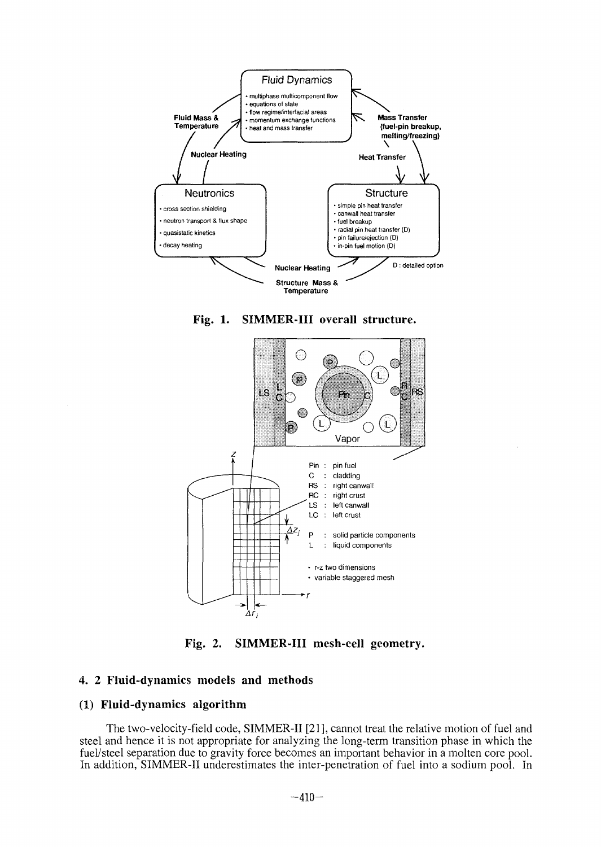

**Fig. 1. SIMMER-III overall structure.**



**Fig. 2. SIMMER-III mesh-cell geometry.**

## **4. 2 Fluid-dynamics models and methods**

## **(1) Fluid-dynamics algorithm**

The two-velocity-field code, SIMMER-II [21], cannot treat the relative motion of fuel and steel and hence it is not appropriate for analyzing the long-term transition phase in which the fuel/steel separation due to gravity force becomes an important behavior in a molten core pool. In addition, SIMMER-II underestimates the inter-penetration of fuel into a sodium pool. In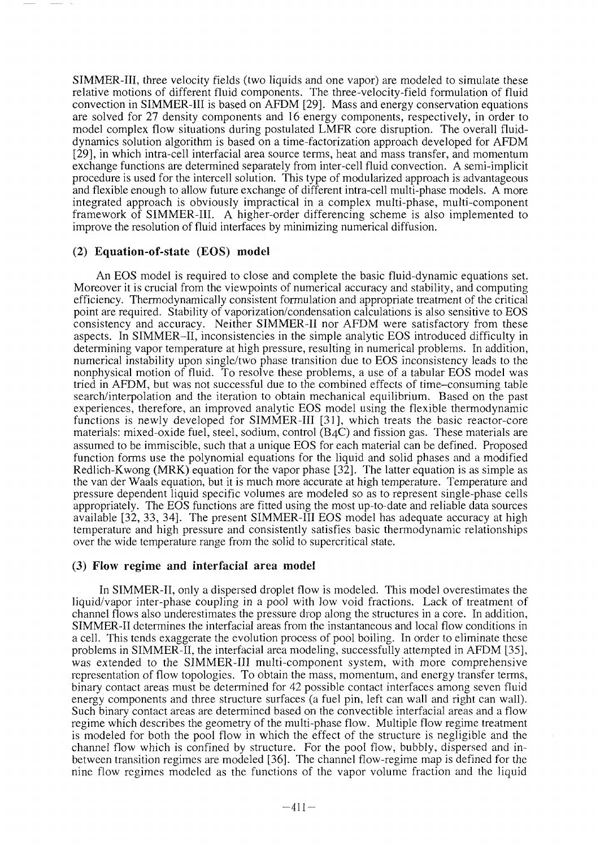SIMMER-III, three velocity fields (two liquids and one vapor) are modeled to simulate these relative motions of different fluid components. The three-velocity-field formulation of fluid convection in SIMMER-III is based on AFDM [29]. Mass and energy conservation equations are solved for 27 density components and 16 energy components, respectively, in order to model complex flow situations during postulated LMFR core disruption. The overall fluiddynamics solution algorithm is based on a time-factorization approach developed for AFDM [29], in which intra-cell interfacial area source terms, heat and mass transfer, and momentum exchange functions are determined separately from inter-cell fluid convection. A semi-implicit procedure is used for the intercell solution. This type of modularized approach is advantageous and flexible enough to allow future exchange of different intra-cell multi-phase models. A more integrated approach is obviously impractical in a complex multi-phase, multi-component framework of SIMMER-III. A higher-order differencing scheme is also implemented to improve the resolution of fluid interfaces by minimizing numerical diffusion.

# (2) **Equation-of-state** (EOS) **model**

An EOS model is required to close and complete the basic fluid-dynamic equations set. Moreover it is crucial from the viewpoints of numerical accuracy and stability, and computing efficiency. Thermodynamically consistent formulation and appropriate treatment of the critical point are required. Stability of vaporization/condensation calculations is also sensitive to EOS consistency and accuracy. Neither SIMMER-II nor AFDM were satisfactory from these aspects. In SIMMER-II, inconsistencies in the simple analytic EOS introduced difficulty in determining vapor temperature at high pressure, resulting in numerical problems. In addition, numerical instability upon single/two phase transition due to EOS inconsistency leads to the nonphysical motion of fluid. To resolve these problems, a use of a tabular EOS model was tried in AFDM, but was not successful due to the combined effects of time-consuming table search/interpolation and the iteration to obtain mechanical equilibrium. Based on the past experiences, therefore, an improved analytic EOS model using the flexible thermodynamic functions is newly developed for SIMMER-III [31], which treats the basic reactor-core materials: mixed-oxide fuel, steel, sodium, control (B4C) and fission gas. These materials are assumed to be immiscible, such that a unique EOS for each material can be defined. Proposed function forms use the polynomial equations for the liquid and solid phases and a modified Redlich-Kwong (MRK) equation for the vapor phase [32]. The latter equation is as simple as the van der Waals equation, but it is much more accurate at high temperature. Temperature and pressure dependent liquid specific volumes are modeled so as to represent single-phase cells appropriately. The EOS functions are fitted using the most up-to-date and reliable data sources available [32, 33, 34]. The present SIMMER-III EOS model has adequate accuracy at high temperature and high pressure and consistently satisfies basic thermodynamic relationships over the wide temperature range from the solid to supercritical state.

### (3) **Flow** regime and **interfacial** area model

In SIMMER-II, only a dispersed droplet flow is modeled. This model overestimates the liquid/vapor inter-phase coupling in a pool with low void fractions. Lack of treatment of channel flows also underestimates the pressure drop along the structures in a core. In addition, SIMMER-II determines the interfacial areas from the instantaneous and local flow conditions in a cell. This tends exaggerate the evolution process of pool boiling. In order to eliminate these problems in SIMMER-II, the interfacial area modeling, successfully attempted in AFDM [35], was extended to the SIMMER-III multi-component system, with more comprehensive representation of flow topologies. To obtain the mass, momentum, and energy transfer terms, binary contact areas must be determined for 42 possible contact interfaces among seven fluid energy components and three structure surfaces (a fuel pin, left can wall and right can wall). Such binary contact areas are determined based on the convectible interfacial areas and a flow regime which describes the geometry of the multi-phase flow. Multiple flow regime treatment is modeled for both the pool flow in which the effect of the structure is negligible and the channel flow which is confined by structure. For the pool flow, bubbly, dispersed and inbetween transition regimes are modeled [36]. The channel flow-regime map is defined for the nine flow regimes modeled as the functions of the vapor volume fraction and the liquid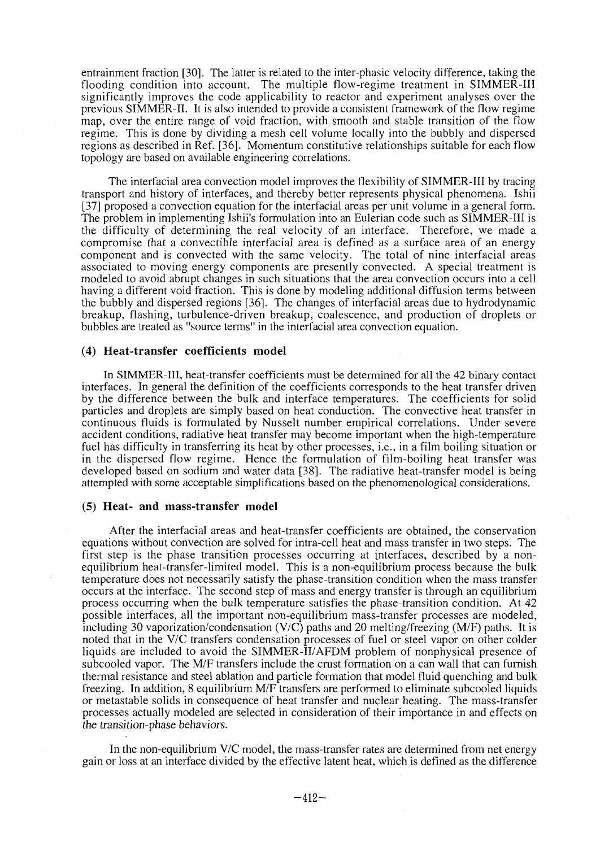entrainment fraction [30]. The latter is related to the inter-phasic velocity difference, taking the flooding condition into account. The multiple flow-regime treatment in SIMMER-III significantly improves the code applicability to reactor and experiment analyses over the previous SIMMER-II. It is also intended to provide a consistent framework of the flow regime map, over the entire range of void fraction, with smooth and stable transition of the flow regime. This is done by dividing a mesh cell volume locally into the bubbly and dispersed regions as described in Ref. [36]. Momentum constitutive relationships suitable for each flow topology are based on available engineering correlations.

The interfacial area convection model improves the flexibility of SIMMER-III by tracing transport and history of interfaces, and thereby better represents physical phenomena. Ishii [37] proposed a convection equation for the interfacial areas per unit volume in a general form. The problem in implementing Ishii's formulation into an Eulerian code such as SIMMER-III is the difficulty of determining the real velocity of an interface. Therefore, we made a compromise that a convectible interfacial area is defined as a surface area of an energy component and is convected with the same velocity. The total of nine interfacial areas associated to moving energy components are presently convected. A special treatment is modeled to avoid abrupt changes in such situations that the area convection occurs into a cell having a different void fraction. This is done by modeling additional diffusion terms between the bubbly and dispersed regions [36]. The changes of interfacial areas due to hydrodynamic breakup, flashing, turbulence-driven breakup, coalescence, and production of droplets or bubbles are treated as "source terms" in the interfacial area convection equation.

#### **(4) Heat-transfer coefficients model**

In SIMMER-III, heat-transfer coefficients must be determined for all the 42 binary contact interfaces. In general the definition of the coefficients corresponds to the heat transfer driven by the difference between the bulk and interface temperatures. The coefficients for solid particles and droplets are simply based on heat conduction. The convective heat transfer in continuous fluids is formulated by Nusselt number empirical correlations. Under severe accident conditions, radiative heat transfer may become important when the high-temperature fuel has difficulty in transferring its heat by other processes, i.e., in a film boiling situation or in the dispersed flow regime. Hence the formulation of film-boiling heat transfer was developed based on sodium and water data [38]. The radiative heat-transfer model is being attempted with some acceptable simplifications based on the phenomenological considerations.

#### **(5) Heat- and mass-transfer model**

After the interfacial areas and heat-transfer coefficients are obtained, the conservation equations without convection are solved for intra-cell heat and mass transfer in two steps. The first step is the phase transition processes occurring at interfaces, described by a nonequilibrium heat-transfer-limited model. This is a non-equilibrium process because the bulk temperature does not necessarily satisfy the phase-transition condition when the mass transfer occurs at the interface. The second step of mass and energy transfer is through an equilibrium process occurring when the bulk temperature satisfies the phase-transition condition. At 42 possible interfaces, all the important non-equilibrium mass-transfer processes are modeled, including 30 vaporization/condensation (V/C) paths and 20 melting/freezing (M/F) paths. It is noted that in the V/C transfers condensation processes of fuel or steel vapor on other colder liquids are included to avoid the SIMMER-II/AFDM problem of nonphysical presence of subcooled vapor. The M/F transfers include the crust formation on a can wall that can furnish thermal resistance and steel ablation and particle formation that model fluid quenching and bulk freezing. In addition, 8 equilibrium M/F transfers are performed to eliminate subcooled liquids or metastable solids in consequence of heat transfer and nuclear heating. The mass-transfer processes actually modeled are selected in consideration of their importance in and effects on the transition-phase behaviors.

In the non-equilibrium V/C model, the mass-transfer rates are determined from net energy gain or loss at an interface divided by the effective latent heat, which is defined as the difference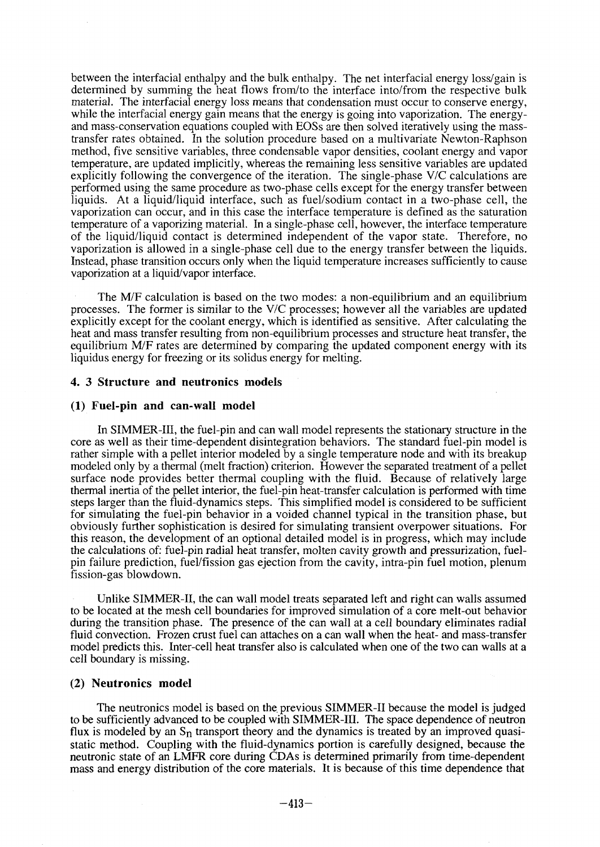between the interfacial enthalpy and the bulk enthalpy. The net interfacial energy loss/gain is determined by summing the heat flows from/to the interface into/from the respective bulk material. The interfacial energy loss means that condensation must occur to conserve energy, while the interfacial energy gain means that the energy is going into vaporization. The energyand mass-conservation equations coupled with EOSs are then solved iteratively using the masstransfer rates obtained. In the solution procedure based on a multivariate Newton-Raphson method, five sensitive variables, three condensable vapor densities, coolant energy and vapor temperature, are updated implicitly, whereas the remaining less sensitive variables are updated explicitly following the convergence of the iteration. The single-phase V/C calculations are performed using the same procedure as two-phase cells except for the energy transfer between liquids. At a liquid/liquid interface, such as fuel/sodium contact in a two-phase cell, the vaporization can occur, and in this case the interface temperature is defined as the saturation temperature of a vaporizing material. In a single-phase cell, however, the interface temperature of the liquid/liquid contact is determined independent of the vapor state. Therefore, no vaporization is allowed in a single-phase cell due to the energy transfer between the liquids. Instead, phase transition occurs only when the liquid temperature increases sufficiently to cause vaporization at a liquid/vapor interface.

The M/F calculation is based on the two modes: a non-equilibrium and an equilibrium processes. The former is similar to the V/C processes; however all the variables are updated explicitly except for the coolant energy, which is identified as sensitive. After calculating the heat and mass transfer resulting from non-equilibrium processes and structure heat transfer, the equilibrium M/F rates are determined by comparing the updated component energy with its liquidus energy for freezing or its solidus energy for melting.

### **4. 3 Structure and neutronics models**

#### **(1) Fuel-pin and can-wall model**

In SIMMER-III, the fuel-pin and can wall model represents the stationary structure in the core as well as their time-dependent disintegration behaviors. The standard fuel-pin model is rather simple with a pellet interior modeled by a single temperature node and with its breakup modeled only by a thermal (melt fraction) criterion. However the separated treatment of a pellet surface node provides better thermal coupling with the fluid. Because of relatively large thermal inertia of the pellet interior, the fuel-pin heat-transfer calculation is performed with time steps larger than the fluid-dynamics steps. This simplified model is considered to be sufficient for simulating the fuel-pin behavior in a voided channel typical in the transition phase, but obviously further sophistication is desired for simulating transient overpower situations. For this reason, the development of an optional detailed model is in progress, which may include the calculations of: fuel-pin radial heat transfer, molten cavity growth and pressurization, fuelpin failure prediction, fuel/fission gas ejection from the cavity, intra-pin fuel motion, plenum fission-gas blowdown.

Unlike SIMMER-II, the can wall model treats separated left and right can walls assumed to be located at the mesh cell boundaries for improved simulation of a core melt-out behavior during the transition phase. The presence of the can wall at a cell boundary eliminates radial fluid convection. Frozen crust fuel can attaches on a can wall when the heat- and mass-transfer model predicts this. Inter-cell heat transfer also is calculated when one of the two can walls at a cell boundary is missing.

#### **(2) Neutronics model**

The neutronics model is based on the previous SIMMER-II because the model is judged to be sufficiently advanced to be coupled with SIMMER-III. The space dependence of neutron flux is modeled by an  $S_n$  transport theory and the dynamics is treated by an improved quasistatic method. Coupling with the fluid-dynamics portion is carefully designed, because the neutronic state of an LMFR core during CDAs is determined primarily from time-dependent mass and energy distribution of the core materials. It is because of this time dependence that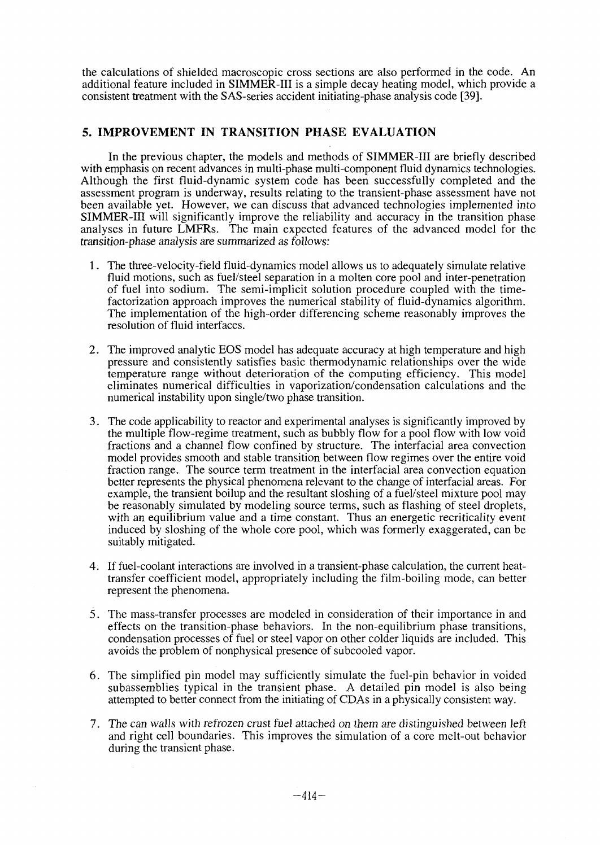the calculations of shielded macroscopic cross sections are also performed in the code. An additional feature included in SIMMER-III is a simple decay heating model, which provide a consistent treatment with the SAS-series accident initiating-phase analysis code [39].

# **5. IMPROVEMENT IN TRANSITION PHASE EVALUATION**

In the previous chapter, the models and methods of SIMMER-III are briefly described with emphasis on recent advances in multi-phase multi-component fluid dynamics technologies. Although the first fluid-dynamic system code has been successfully completed and the assessment program is underway, results relating to the transient-phase assessment have not been available yet. However, we can discuss that advanced technologies implemented into SIMMER-III will significantly improve the reliability and accuracy in the transition phase analyses in future LMFRs. The main expected features of the advanced model for the transition-phase analysis are summarized as follows:

- 1. The three-velocity-field fluid-dynamics model allows us to adequately simulate relative fluid motions, such as fuel/steel separation in a molten core pool and inter-penetration of fuel into sodium. The semi-implicit solution procedure coupled with the timefactorization approach improves the numerical stability of fluid-dynamics algorithm. The implementation of the high-order differencing scheme reasonably improves the resolution of fluid interfaces.
- 2. The improved analytic EOS model has adequate accuracy at high temperature and high pressure and consistently satisfies basic thermodynamic relationships over the wide temperature range without deterioration of the computing efficiency. This model eliminates numerical difficulties in vaporization/condensation calculations and the numerical instability upon single/two phase transition.
- 3. The code applicability to reactor and experimental analyses is significantly improved by the multiple flow-regime treatment, such as bubbly flow for a pool flow with low void fractions and a channel flow confined by structure. The interfacial area convection model provides smooth and stable transition between flow regimes over the entire void fraction range. The source term treatment in the interfacial area convection equation better represents the physical phenomena relevant to the change of interfacial areas. For example, the transient boilup and the resultant sloshing of a fuel/steel mixture pool may be reasonably simulated by modeling source terms, such as flashing of steel droplets, with an equilibrium value and a time constant. Thus an energetic recriticality event induced by sloshing of the whole core pool, which was formerly exaggerated, can be suitably mitigated.
- 4. If fuel-coolant interactions are involved in a transient-phase calculation, the current heattransfer coefficient model, appropriately including the film-boiling mode, can better represent the phenomena.
- 5. The mass-transfer processes are modeled in consideration of their importance in and effects on the transition-phase behaviors. In the non-equilibrium phase transitions, condensation processes of fuel or steel vapor on other colder liquids are included. This avoids the problem of nonphysical presence of subcooled vapor.
- 6. The simplified pin model may sufficiently simulate the fuel-pin behavior in voided subassemblies typical in the transient phase. A detailed pin model is also being attempted to better connect from the initiating of CDAs in a physically consistent way.
- 7. The can walls with refrozen crust fuel attached on them are distinguished between left and right cell boundaries. This improves the simulation of a core melt-out behavior during the transient phase.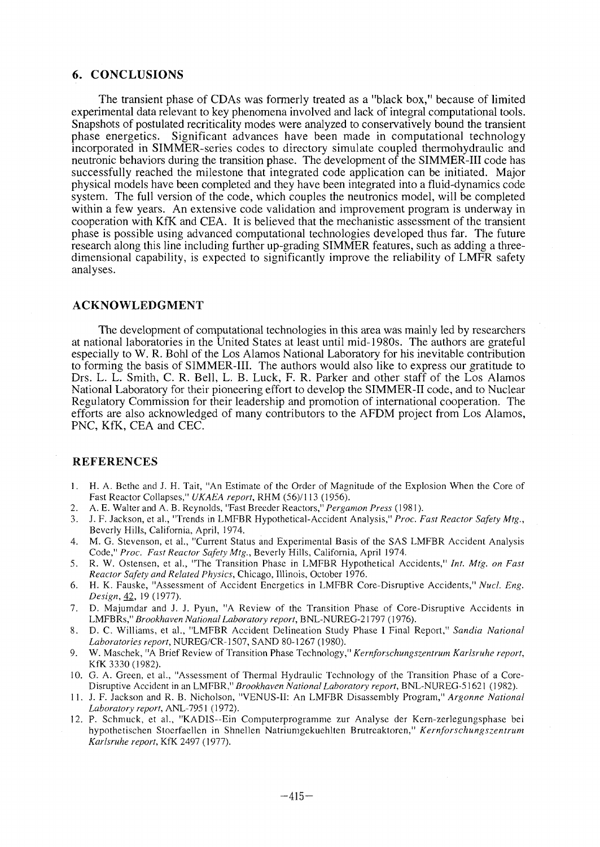# **6. CONCLUSIONS**

The transient phase of CDAs was formerly treated as a "black box," because of limited experimental data relevant to key phenomena involved and lack of integral computational tools. Snapshots of postulated recriticality modes were analyzed to conservatively bound the transient phase energetics. Significant advances have been made in computational technology incorporated in SIMMER-series codes to directory simulate coupled thermohydraulic and neutronic behaviors during the transition phase. The development of the SIMMER-III code has successfully reached the milestone that integrated code application can be initiated. Major physical models have been completed and they have been integrated into a fluid-dynamics code system. The full version of the code, which couples the neutronics model, will be completed within a few years. An extensive code validation and improvement program is underway in cooperation with KfK and CEA. It is believed that the mechanistic assessment of the transient phase is possible using advanced computational technologies developed thus far. The future research along this line including further up-grading SIMMER features, such as adding a threedimensional capability, is expected to significantly improve the reliability of LMFR safety analyses.

#### ACKNOWLEDGMENT

The development of computational technologies in this area was mainly led by researchers at national laboratories in the United States at least until mid-1980s. The authors are grateful especially to W. R. Bohl of the Los Alamos National Laboratory for his inevitable contribution to forming the basis of SIMMER-III. The authors would also like to express our gratitude to Drs. L. L. Smith, C. R. Bell, L. B. Luck, F. R. Parker and other staff of the Los Alamos National Laboratory for their pioneering effort to develop the SIMMER-II code, and to Nuclear Regulatory Commission for their leadership and promotion of international cooperation. The efforts are also acknowledged of many contributors to the AFDM project from Los Alamos, PNC, KfK, CEA and CEC.

#### REFERENCES

- 1. H. A. Bcthc and J. H. Tait, "An Estimate of the Order of Magnitude of the Explosion When the Core of Fast Reactor Collapses," *UKAEA report,* RHM (56)/113 (1956).
- 2. A. E. Walter and A. B. Reynolds, "Fast Breeder Reactors," *Pergamon Press* (1981).
- 3. J. F. Jackson, et al., "Trends in LMFBR Hypothetical-Accident Analysis," *Proc. Fast Reactor Safety Mtg.,* Beverly Hills, California, April, 1974.
- 4. M. G. Stevenson, et al., "Current Status and Experimental Basis of the SAS LMFBR Accident Analysis Code," *Proc. Fast Reactor Safety Mtg.,* Beverly Hills, California, April 1974.
- 5. R. W. Ostensen, et al., "The Transition Phase in LMFBR Hypothetical Accidents," *Int. Mfg. on Fast Reactor Safety and Related Physics,* Chicago, Illinois, October 1976.
- 6. H. K. Fauske, "Assessment of Accident Energetics in LMFBR Core-Disruptive Accidents," *Nucl. Eng. Design,* 42, 19(1977).
- 7. D. Majumdar and J. J. Pyun, "A Review of the Transition Phase of Core-Disruptive Accidents in LMFBRs," *Brookhaven National Laboratory report,* BNL-NUREG-21797 (1976).
- 8. D. C. Williams, et al., "LMFBR Accident Delineation Study Phase I Final Report," *Sandia National Laboratories report,* NUREG/CR-1507, SAND 80-1267 (1980).
- 9. W. Maschek, "A Brief Review of Transition Phase Technology," *Kernforschungszentrum Karlsruhe report,* KfK 3330 (1982).
- 10. G. A. Green, et al., "Assessment of Thermal Hydraulic Technology of the Transition Phase of a Core-Disruptive Accident in an LMFBR," *Brookhaven National Laboratory report,* BNL-NUREG-51621 (1982).
- 11. J. F. Jackson and R. B. Nicholson, "VENUS-II: An LMFBR Disassembly Program," *Argonne National Laboratory report,* ANL-7951 (1972).
- 12. P. Schmuck, et al., "KADIS-Ein Computerprogramme zur Analyse der Kcrn-zerlegungsphase bei hypothetischen Stoerfaellen in Shnellen Natriumgekuehlten Brutreaktoren," *Kernforschungszentrum Karlsruhe report,* KfK 2497 (1977).